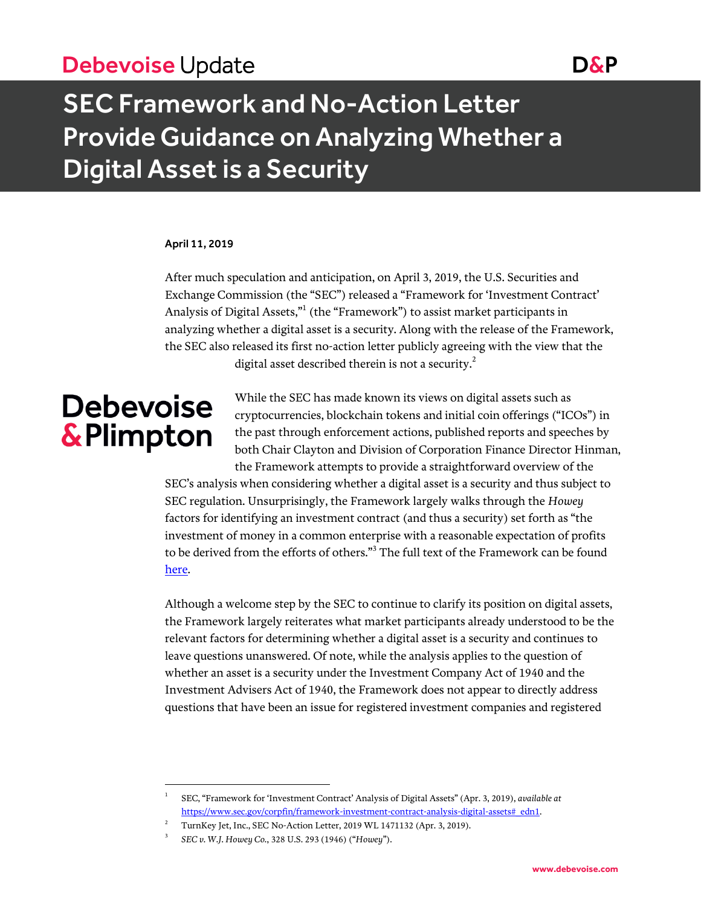## Debevoise Update Date D&P

# SEC Framework and No-Action Letter Provide Guidance on Analyzing Whether a Digital Asset is a Security

#### April 11, 2019

After much speculation and anticipation, on April 3, 2019, the U.S. Securities and Exchange Commission (the "SEC") released a "Framework for 'Investment Contract' Analysis of Digital Assets,"<sup>1</sup> (the "Framework") to assist market participants in analyzing whether a digital asset is a security. Along with the release of the Framework, the SEC also released its first no-action letter publicly agreeing with the view that the digital asset described therein is not a security. $^{2}$ 

# **Debevoise** & Plimpton

l

While the SEC has made known its views on digital assets such as cryptocurrencies, blockchain tokens and initial coin offerings ("ICOs") in the past through enforcement actions, published reports and speeches by both Chair Clayton and Division of Corporation Finance Director Hinman, the Framework attempts to provide a straightforward overview of the

SEC's analysis when considering whether a digital asset is a security and thus subject to SEC regulation. Unsurprisingly, the Framework largely walks through the *Howey* factors for identifying an investment contract (and thus a security) set forth as "the investment of money in a common enterprise with a reasonable expectation of profits to be derived from the efforts of others."<sup>3</sup> The full text of the Framework can be found [here.](https://www.sec.gov/corpfin/framework-investment-contract-analysis-digital-assets#_edn1)

Although a welcome step by the SEC to continue to clarify its position on digital assets, the Framework largely reiterates what market participants already understood to be the relevant factors for determining whether a digital asset is a security and continues to leave questions unanswered. Of note, while the analysis applies to the question of whether an asset is a security under the Investment Company Act of 1940 and the Investment Advisers Act of 1940, the Framework does not appear to directly address questions that have been an issue for registered investment companies and registered

<sup>1</sup> SEC, "Framework for 'Investment Contract' Analysis of Digital Assets" (Apr. 3, 2019), *available at* [https://www.sec.gov/corpfin/framework-investment-contract-analysis-digital-assets#\\_edn1.](https://www.sec.gov/corpfin/framework-investment-contract-analysis-digital-assets#_edn1)

<sup>2</sup> TurnKey Jet, Inc., SEC No-Action Letter, 2019 WL 1471132 (Apr. 3, 2019).

<sup>3</sup> *SEC v. W.J. Howey Co.*, 328 U.S. 293 (1946) ("*Howey*").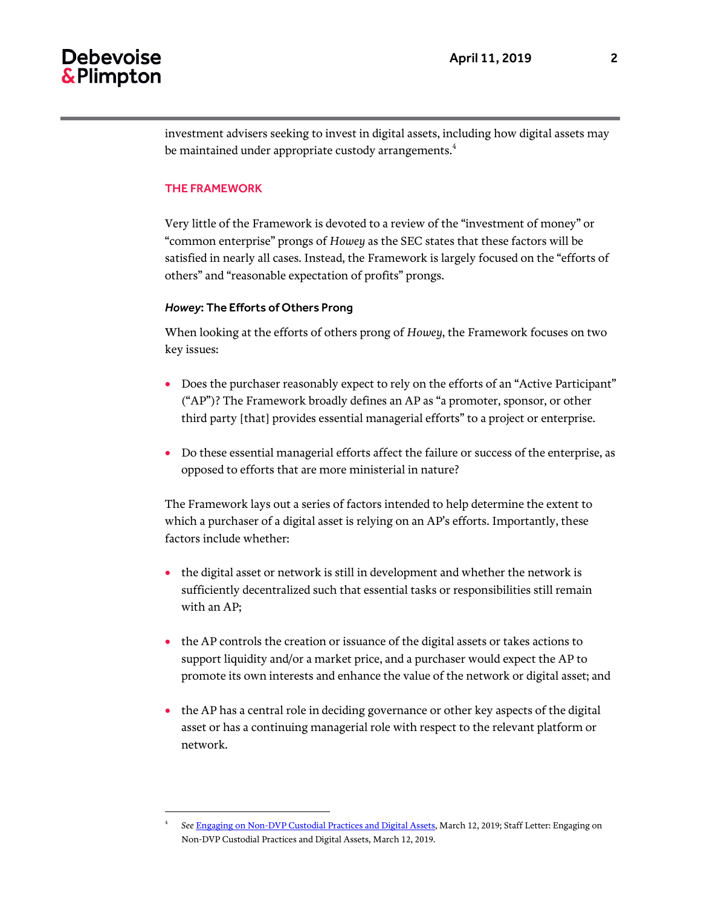## **Debevoise** & Plimpton

investment advisers seeking to invest in digital assets, including how digital assets may be maintained under appropriate custody arrangements.<sup>4</sup>

#### THE FRAMEWORK

 $\overline{a}$ 

Very little of the Framework is devoted to a review of the "investment of money" or "common enterprise" prongs of *Howey* as the SEC states that these factors will be satisfied in nearly all cases. Instead, the Framework is largely focused on the "efforts of others" and "reasonable expectation of profits" prongs.

#### *Howey*: The Efforts of Others Prong

When looking at the efforts of others prong of *Howey*, the Framework focuses on two key issues:

- Does the purchaser reasonably expect to rely on the efforts of an "Active Participant" ("AP")? The Framework broadly defines an AP as "a promoter, sponsor, or other third party [that] provides essential managerial efforts" to a project or enterprise.
- Do these essential managerial efforts affect the failure or success of the enterprise, as opposed to efforts that are more ministerial in nature?

The Framework lays out a series of factors intended to help determine the extent to which a purchaser of a digital asset is relying on an AP's efforts. Importantly, these factors include whether:

- the digital asset or network is still in development and whether the network is sufficiently decentralized such that essential tasks or responsibilities still remain with an AP;
- the AP controls the creation or issuance of the digital assets or takes actions to support liquidity and/or a market price, and a purchaser would expect the AP to promote its own interests and enhance the value of the network or digital asset; and
- the AP has a central role in deciding governance or other key aspects of the digital asset or has a continuing managerial role with respect to the relevant platform or network.

<sup>4</sup> *See* [Engaging on Non-DVP Custodial Practices and Digital Assets,](https://www.sec.gov/investment/non-dvp-and-custody-digital-assets-031219-206) March 12, 2019; Staff Letter: Engaging on Non-DVP Custodial Practices and Digital Assets, March 12, 2019.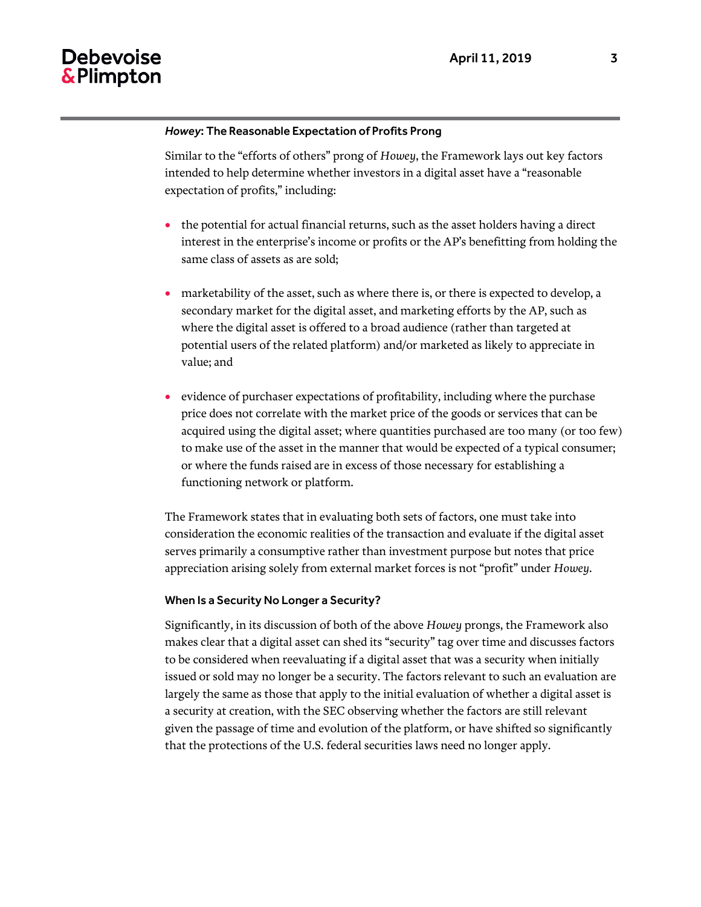### **Debevoise** & Plimpton

#### *Howey*: The Reasonable Expectation of Profits Prong

Similar to the "efforts of others" prong of *Howey*, the Framework lays out key factors intended to help determine whether investors in a digital asset have a "reasonable expectation of profits," including:

- the potential for actual financial returns, such as the asset holders having a direct interest in the enterprise's income or profits or the AP's benefitting from holding the same class of assets as are sold;
- marketability of the asset, such as where there is, or there is expected to develop, a secondary market for the digital asset, and marketing efforts by the AP, such as where the digital asset is offered to a broad audience (rather than targeted at potential users of the related platform) and/or marketed as likely to appreciate in value; and
- evidence of purchaser expectations of profitability, including where the purchase price does not correlate with the market price of the goods or services that can be acquired using the digital asset; where quantities purchased are too many (or too few) to make use of the asset in the manner that would be expected of a typical consumer; or where the funds raised are in excess of those necessary for establishing a functioning network or platform.

The Framework states that in evaluating both sets of factors, one must take into consideration the economic realities of the transaction and evaluate if the digital asset serves primarily a consumptive rather than investment purpose but notes that price appreciation arising solely from external market forces is not "profit" under *Howey*.

#### When Is a Security No Longer a Security?

Significantly, in its discussion of both of the above *Howey* prongs, the Framework also makes clear that a digital asset can shed its "security" tag over time and discusses factors to be considered when reevaluating if a digital asset that was a security when initially issued or sold may no longer be a security. The factors relevant to such an evaluation are largely the same as those that apply to the initial evaluation of whether a digital asset is a security at creation, with the SEC observing whether the factors are still relevant given the passage of time and evolution of the platform, or have shifted so significantly that the protections of the U.S. federal securities laws need no longer apply.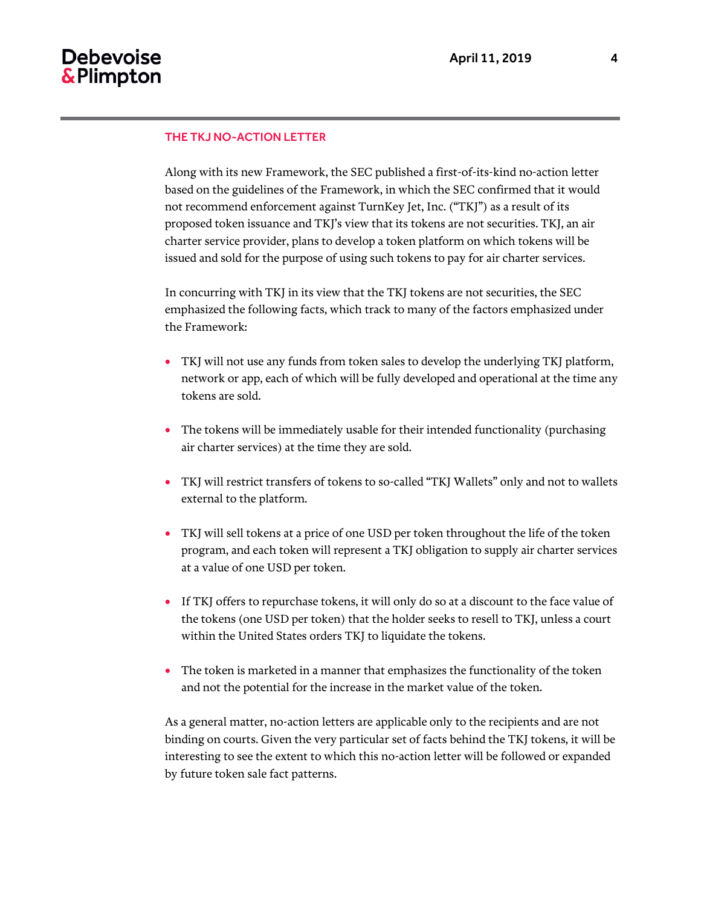#### THE TKJ NO-ACTION LETTER

Along with its new Framework, the SEC published a first-of-its-kind no-action letter based on the guidelines of the Framework, in which the SEC confirmed that it would not recommend enforcement against TurnKey Jet, Inc. ("TKJ") as a result of its proposed token issuance and TKJ's view that its tokens are not securities. TKJ, an air charter service provider, plans to develop a token platform on which tokens will be issued and sold for the purpose of using such tokens to pay for air charter services.

In concurring with TKJ in its view that the TKJ tokens are not securities, the SEC emphasized the following facts, which track to many of the factors emphasized under the Framework:

- TKJ will not use any funds from token sales to develop the underlying TKJ platform, network or app, each of which will be fully developed and operational at the time any tokens are sold.
- The tokens will be immediately usable for their intended functionality (purchasing air charter services) at the time they are sold.
- TKJ will restrict transfers of tokens to so-called "TKJ Wallets" only and not to wallets external to the platform.
- TKJ will sell tokens at a price of one USD per token throughout the life of the token program, and each token will represent a TKJ obligation to supply air charter services at a value of one USD per token.
- If TKJ offers to repurchase tokens, it will only do so at a discount to the face value of the tokens (one USD per token) that the holder seeks to resell to TKJ, unless a court within the United States orders TKJ to liquidate the tokens.
- The token is marketed in a manner that emphasizes the functionality of the token and not the potential for the increase in the market value of the token.

As a general matter, no-action letters are applicable only to the recipients and are not binding on courts. Given the very particular set of facts behind the TKJ tokens, it will be interesting to see the extent to which this no-action letter will be followed or expanded by future token sale fact patterns.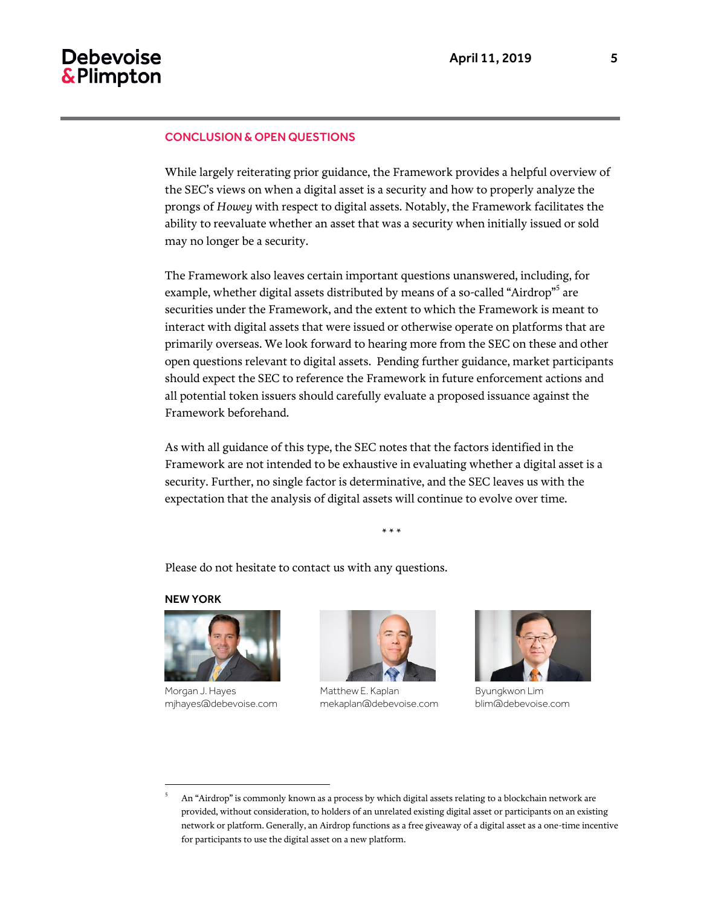#### CONCLUSION & OPEN QUESTIONS

While largely reiterating prior guidance, the Framework provides a helpful overview of the SEC's views on when a digital asset is a security and how to properly analyze the prongs of *Howey* with respect to digital assets. Notably, the Framework facilitates the ability to reevaluate whether an asset that was a security when initially issued or sold may no longer be a security.

The Framework also leaves certain important questions unanswered, including, for example, whether digital assets distributed by means of a so-called "Airdrop"<sup>5</sup> are securities under the Framework, and the extent to which the Framework is meant to interact with digital assets that were issued or otherwise operate on platforms that are primarily overseas. We look forward to hearing more from the SEC on these and other open questions relevant to digital assets. Pending further guidance, market participants should expect the SEC to reference the Framework in future enforcement actions and all potential token issuers should carefully evaluate a proposed issuance against the Framework beforehand.

As with all guidance of this type, the SEC notes that the factors identified in the Framework are not intended to be exhaustive in evaluating whether a digital asset is a security. Further, no single factor is determinative, and the SEC leaves us with the expectation that the analysis of digital assets will continue to evolve over time.

\* \* \*

Please do not hesitate to contact us with any questions.

#### NEW YORK

l



Morgan J. Hayes mjhayes@debevoise.com



Matthew E. Kaplan mekaplan@debevoise.com



Byungkwon Lim blim@debevoise.com

<sup>5</sup> An "Airdrop" is commonly known as a process by which digital assets relating to a blockchain network are provided, without consideration, to holders of an unrelated existing digital asset or participants on an existing network or platform. Generally, an Airdrop functions as a free giveaway of a digital asset as a one-time incentive for participants to use the digital asset on a new platform.